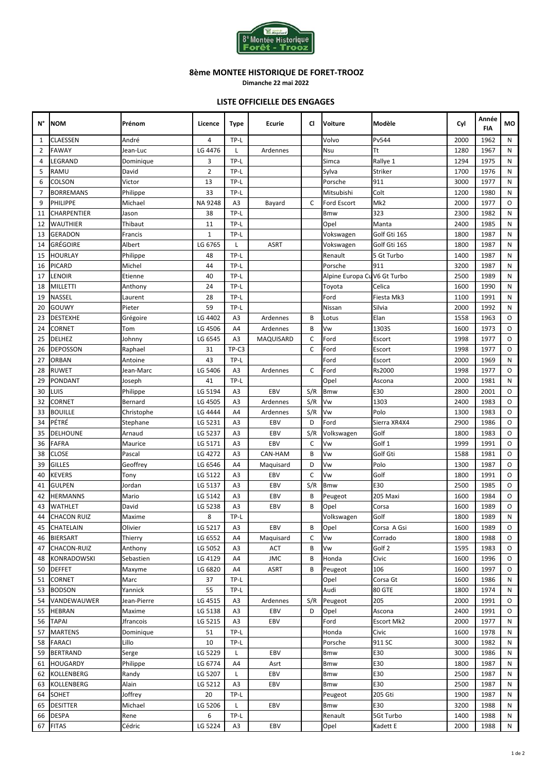

**Dimanche 22 mai 2022**

### **LISTE OFFICIELLE DES ENGAGES**

| N°           | <b>NOM</b>         | Prénom      | Licence        | <b>Type</b>    | Ecurie      | CI          | <b>Voiture</b>              | Modèle            | Cyl  | Année<br><b>FIA</b> | мо        |
|--------------|--------------------|-------------|----------------|----------------|-------------|-------------|-----------------------------|-------------------|------|---------------------|-----------|
| $\mathbf{1}$ | CLAESSEN           | André       | 4              | TP-L           |             |             | Volvo                       | Pv544             | 2000 | 1962                | N         |
| 2            | <b>FAWAY</b>       | Jean-Luc    | LG 4476        | L              | Ardennes    |             | Nsu                         | Tt                | 1280 | 1967                | N         |
| 4            | LEGRAND            | Dominique   | 3              | TP-L           |             |             | Simca                       | Rallye 1          | 1294 | 1975                | N         |
| 5            | <b>RAMU</b>        | David       | $\overline{2}$ | TP-L           |             |             | Sylva                       | <b>Striker</b>    | 1700 | 1976                | N         |
| 6            | COLSON             | Victor      | 13             | TP-L           |             |             | Porsche                     | 911               | 3000 | 1977                | N         |
| 7            | <b>BORREMANS</b>   | Philippe    | 33             | TP-L           |             |             | Mitsubishi                  | Colt              | 1200 | 1980                | N         |
| 9            | PHILIPPE           | Michael     | NA 9248        | A3             | Bayard      | C           | <b>Ford Escort</b>          | Mk <sub>2</sub>   | 2000 | 1977                | $\circ$   |
| 11           | <b>CHARPENTIER</b> | Jason       | 38             | TP-L           |             |             | <b>Bmw</b>                  | 323               | 2300 | 1982                | N         |
| 12           | <b>WAUTHIER</b>    | Thibaut     | 11             | TP-L           |             |             | Opel                        | Manta             | 2400 | 1985                | N         |
| 13           | <b>GERADON</b>     | Francis     | $\mathbf{1}$   | TP-L           |             |             | Vokswagen                   | Golf Gti 16S      | 1800 | 1987                | N         |
| 14           | <b>GRÉGOIRE</b>    | Albert      | LG 6765        | L              | <b>ASRT</b> |             | Vokswagen                   | Golf Gti 16S      | 1800 | 1987                | N         |
| 15           | <b>HOURLAY</b>     | Philippe    | 48             | TP-L           |             |             | Renault                     | 5 Gt Turbo        | 1400 | 1987                | N         |
| 16           | <b>PICARD</b>      | Michel      | 44             | TP-L           |             |             | Porsche                     | 911               | 3200 | 1987                | N         |
| 17           | <b>LENOIR</b>      | Etienne     | 40             | TP-L           |             |             | Alpine Europa CuV6 Gt Turbo |                   | 2500 | 1989                | N         |
| 18           | <b>MILLETTI</b>    | Anthony     | 24             | TP-L           |             |             | Toyota                      | Celica            | 1600 | 1990                | N         |
| 19           | <b>NASSEL</b>      | Laurent     | 28             | TP-L           |             |             | Ford                        | Fiesta Mk3        | 1100 | 1991                | N         |
| 20           | <b>GOUWY</b>       | Pieter      | 59             | TP-L           |             |             | Nissan                      | Silvia            | 2000 | 1992                | ${\sf N}$ |
| 23           | <b>DESTEXHE</b>    | Grégoire    | LG 4402        | A <sub>3</sub> | Ardennes    | B           | Lotus                       | Elan              | 1558 | 1963                | $\circ$   |
| 24           | <b>CORNET</b>      | Tom         | LG 4506        | A4             | Ardennes    | B           | Vw                          | 1303S             | 1600 | 1973                | $\circ$   |
| 25           | <b>DELHEZ</b>      | Johnny      | LG 6545        | A3             | MAQUISARD   | C           | Ford                        | Escort            | 1998 | 1977                | O         |
| 26           | <b>DEPOSSON</b>    | Raphael     | 31             | TP-C3          |             | C           | Ford                        | Escort            | 1998 | 1977                | $\circ$   |
| 27           | <b>ORBAN</b>       | Antoine     | 43             | TP-L           |             |             | Ford                        | Escort            | 2000 | 1969                | N         |
| 28           | <b>RUWET</b>       | Jean-Marc   | LG 5406        | A3             | Ardennes    | C           | Ford                        | Rs2000            | 1998 | 1977                | $\circ$   |
| 29           | <b>PONDANT</b>     | Joseph      | 41             | TP-L           |             |             | Opel                        | Ascona            | 2000 | 1981                | N         |
| 30           | LUIS               | Philippe    | LG 5194        | A <sub>3</sub> | EBV         | S/R         | <b>Bmw</b>                  | E30               | 2800 | 2001                | O         |
| 32           | CORNET             | Bernard     | LG 4505        | A3             | Ardennes    | S/R         | Vw                          | 1303              | 2400 | 1983                | $\circ$   |
| 33           | <b>BOUILLE</b>     | Christophe  | LG 4444        | A4             | Ardennes    | S/R         | Vw                          | Polo              | 1300 | 1983                | $\circ$   |
| 34           | PÉTRÉ              | Stephane    | LG 5231        | A3             | EBV         | D           | Ford                        | Sierra XR4X4      | 2900 | 1986                | $\circ$   |
| 35           | <b>DELHOUNE</b>    | Arnaud      | LG 5237        | A3             | EBV         | S/R         | Volkswagen                  | Golf              | 1800 | 1983                | $\circ$   |
| 36           | <b>FAFRA</b>       | Maurice     | LG 5171        | A <sub>3</sub> | EBV         | C           | Vw                          | Golf 1            | 1999 | 1991                | $\circ$   |
| 38           | <b>CLOSE</b>       | Pascal      | LG 4272        | A3             | CAN-HAM     | B           | Vw                          | Golf Gti          | 1588 | 1981                | $\circ$   |
| 39           | <b>GILLES</b>      | Geoffrey    | LG 6546        | A4             | Maquisard   | D           | Vw                          | Polo              | 1300 | 1987                | $\circ$   |
| 40           | <b>KEVERS</b>      | Tony        | LG 5122        | A3             | EBV         | $\mathsf C$ | Vw                          | Golf              | 1800 | 1991                | $\circ$   |
| 41           | <b>GULPEN</b>      | Jordan      | LG 5137        | A3             | EBV         | S/R         | <b>Bmw</b>                  | E30               | 2500 | 1985                | $\circ$   |
| 42           | <b>HERMANNS</b>    | Mario       | LG 5142        | A3             | EBV         | B           | Peugeot                     | 205 Maxi          | 1600 | 1984                | O         |
| 43           | WATHLET            | David       | LG 5238        | A3             | EBV         | B           | Opel                        | Corsa             | 1600 | 1989                | $\circ$   |
| 44           | <b>CHACON RUIZ</b> | Maxime      | 8              | TP-L           |             |             | Volkswagen                  | Golf              | 1800 | 1989                | N         |
| 45           | <b>CHATELAIN</b>   | Olivier     | LG 5217        | A3             | EBV         | В           | Opel                        | Corsa A Gsi       | 1600 | 1989                | O         |
| 46           | <b>BIERSART</b>    | Thierry     | LG 6552        | A4             | Maguisard   | C           | Vw                          | Corrado           | 1800 | 1988                | $\circ$   |
| 47           | <b>CHACON-RUIZ</b> | Anthony     | LG 5052        | A3             | ACT         | В           | Vw                          | Golf 2            | 1595 | 1983                | 0         |
| 48           | <b>KONRADOWSKI</b> | Sebastien   | LG 4129        | A4             | <b>JMC</b>  | B           | Honda                       | Civic             | 1600 | 1996                | O         |
| 50           | <b>DEFFET</b>      | Maxyme      | LG 6820        | A4             | ASRT        | В           | Peugeot                     | 106               | 1600 | 1997                | O         |
| 51           | <b>CORNET</b>      | Marc        | 37             | TP-L           |             |             | Opel                        | Corsa Gt          | 1600 | 1986                | Ν         |
| 53           | <b>BODSON</b>      | Yannick     | 55             | TP-L           |             |             | Audi                        | 80 GTE            | 1800 | 1974                | N         |
| 54           | VANDEWAUWER        | Jean-Pierre | LG 4515        | A3             | Ardennes    | S/R         | Peugeot                     | 205               | 2000 | 1991                | 0         |
| 55           | <b>HEBRAN</b>      | Maxime      | LG 5138        | A3             | EBV         | D           | Opel                        | Ascona            | 2400 | 1991                | O         |
| 56           | <b>TAPAI</b>       | Jfrancois   | LG 5215        | A3             | EBV         |             | Ford                        | <b>Escort Mk2</b> | 2000 | 1977                | N         |
| 57           | <b>MARTENS</b>     | Dominique   | 51             | TP-L           |             |             | Honda                       | Civic             | 1600 | 1978                | N         |
| 58           | <b>FARACI</b>      | Lillo       | 10             | TP-L           |             |             | Porsche                     | 911 SC            | 3000 | 1982                | N         |
| 59           | <b>BERTRAND</b>    | Serge       | LG 5229        | L              | EBV         |             | <b>Bmw</b>                  | E30               | 3000 | 1986                | Ν         |
| 61           | <b>HOUGARDY</b>    | Philippe    | LG 6774        | A4             | Asrt        |             | <b>Bmw</b>                  | E30               | 1800 | 1987                | N         |
| 62           | <b>KOLLENBERG</b>  | Randy       | LG 5207        | L              | EBV         |             | <b>Bmw</b>                  | E30               | 2500 | 1987                | N         |
| 63           | <b>KOLLENBERG</b>  | Alain       | LG 5212        | A3             | EBV         |             | <b>Bmw</b>                  | E30               | 2500 | 1987                | Ν         |
| 64           | <b>SOHET</b>       | Joffrey     | 20             | TP-L           |             |             | Peugeot                     | 205 Gti           | 1900 | 1987                | N         |
| 65           | <b>DESITTER</b>    | Michael     | LG 5206        | L              | EBV         |             | <b>Bmw</b>                  | E30               | 3200 | 1988                | N         |
| 66           | <b>DESPA</b>       | Rene        | 6              | TP-L           |             |             | Renault                     | 5Gt Turbo         | 1400 | 1988                | Ν         |
| 67           | <b>FITAS</b>       | Cédric      | LG 5224        | A3             | EBV         |             | Opel                        | Kadett E          | 2000 | 1988                | N         |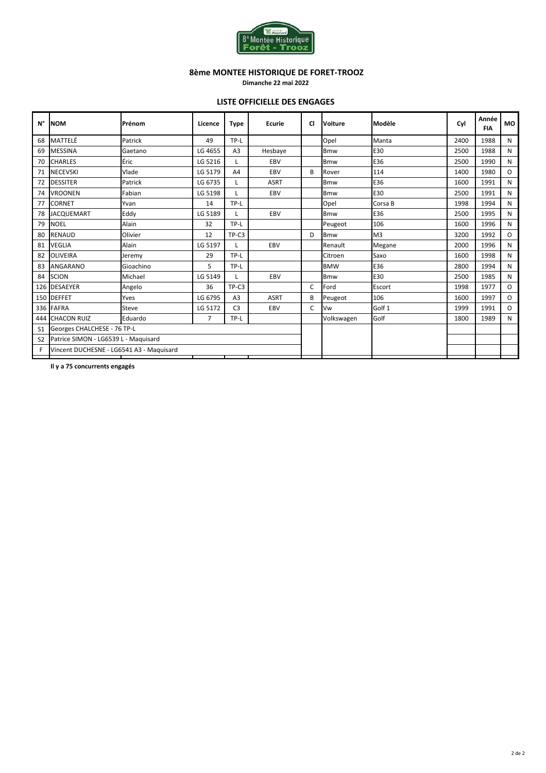

**Dimanche 22 mai 2022**

#### **LISTE OFFICIELLE DES ENGAGES**

| N°             | <b>NOM</b>                               | Prénom          | Licence        | <b>Type</b>    | <b>Ecurie</b> | <b>CI</b>    | <b>Voiture</b> | Modèle         | Cyl  | Année<br><b>FIA</b> | <b>MO</b>    |
|----------------|------------------------------------------|-----------------|----------------|----------------|---------------|--------------|----------------|----------------|------|---------------------|--------------|
| 68             | MATTELÉ                                  | Patrick         | 49             | TP-L           |               |              | Opel           | Manta          | 2400 | 1988                | N            |
| 69             | <b>MESSINA</b>                           | Gaetano         | LG 4655        | A <sub>3</sub> | Hesbaye       |              | <b>Bmw</b>     | E30            | 2500 | 1988                | N            |
| 70             | <b>CHARLES</b>                           | Éric<br>LG 5216 |                | L              | EBV           |              | <b>Bmw</b>     | E36            | 2500 | 1990                | N            |
| 71             | <b>NECEVSKI</b>                          | Vlade           |                | A4             | EBV           | B            | Rover          | 114            | 1400 | 1980                | $\mathsf{O}$ |
| 72             | <b>DESSITER</b>                          | Patrick         | LG 6735        |                | ASRT          |              | <b>Bmw</b>     | E36            | 1600 | 1991                | N            |
| 74             | <b>VROONEN</b>                           | Fabian          | LG 5198        |                | EBV           |              | <b>Bmw</b>     | E30            | 2500 | 1991                | N            |
| 77             | <b>CORNET</b>                            | Yvan            | 14             | TP-L           |               |              | Opel           | Corsa B        | 1998 | 1994                | N            |
| 78             | <b>JACQUEMART</b>                        | Eddy            | LG 5189        | L              | EBV           |              | <b>Bmw</b>     | E36            | 2500 | 1995                | N            |
| 79             | <b>NOEL</b>                              | Alain           |                | TP-L           |               |              | Peugeot        | 106            | 1600 | 1996                | N            |
| 80             | <b>RENAUD</b>                            | Olivier         |                | TP-C3          |               | D            | <b>Bmw</b>     | M <sub>3</sub> | 3200 | 1992                | $\circ$      |
| 81             | <b>VEGLIA</b>                            | Alain           | LG 5197        |                | EBV           |              | Renault        | Megane         | 2000 | 1996                | N            |
| 82             | <b>OLIVEIRA</b>                          | Jeremy          | 29             | TP-L           |               |              | Citroen        | Saxo           | 1600 | 1998                | N            |
| 83             | <b>ANGARANO</b>                          | Gioachino       | 5              | TP-L           |               |              | <b>BMW</b>     | E36            | 2800 | 1994                | N            |
| 84             | <b>SCION</b>                             | Michael         | LG 5149        | L              | EBV           |              | <b>Bmw</b>     | E30            | 2500 | 1985                | N            |
| 126            | <b>DESAEYER</b>                          | Angelo          | 36             | TP-C3          |               | C            | Ford           | Escort         | 1998 | 1977                | $\circ$      |
|                | 150 DEFFET                               | Yves            | LG 6795        | A <sub>3</sub> | <b>ASRT</b>   | В            | Peugeot        | 106            | 1600 | 1997                | $\circ$      |
| 336            | <b>FAFRA</b>                             | Steve           | LG 5172        | C <sub>3</sub> | EBV           | $\mathsf{C}$ | Vw             | Golf 1         | 1999 | 1991                | $\Omega$     |
| 444            | <b>CHACON RUIZ</b><br>Eduardo            |                 | $\overline{7}$ | TP-L           |               |              | Volkswagen     | Golf           | 1800 | 1989                | N            |
| S <sub>1</sub> | Georges CHALCHESE - 76 TP-L              |                 |                |                |               |              |                |                |      |                     |              |
| S <sub>2</sub> | Patrice SIMON - LG6539 L - Maguisard     |                 |                |                |               |              |                |                |      |                     |              |
| F              | Vincent DUCHESNE - LG6541 A3 - Maquisard |                 |                |                |               |              |                |                |      |                     |              |
|                |                                          |                 |                |                |               |              |                |                |      |                     |              |

**Il y a 75 concurrents engagés**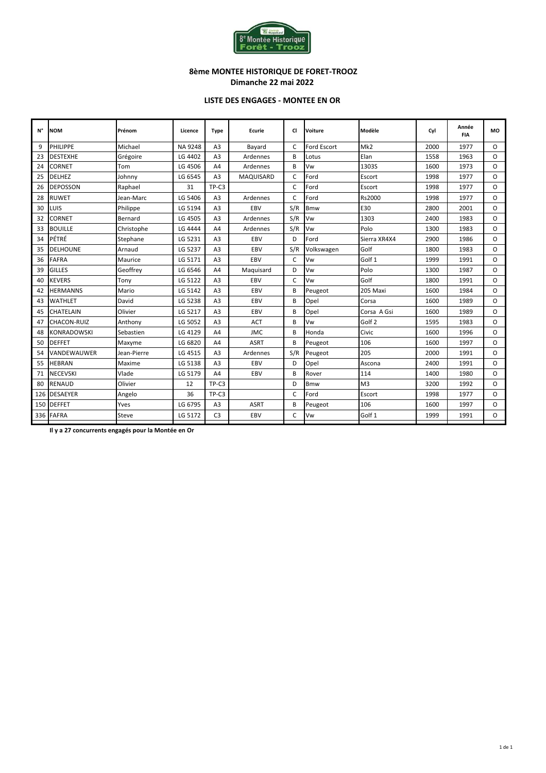

#### **8ème MONTEE HISTORIQUE DE FORET-TROOZ Dimanche 22 mai 2022**

#### **LISTE DES ENGAGES - MONTEE EN OR**

| N°  | <b>NOM</b>         | Prénom      | Licence | Type           | Ecurie      | CI           | <b>Voiture</b> | Modèle            | Cyl  | Année<br><b>FIA</b> | <b>MO</b> |
|-----|--------------------|-------------|---------|----------------|-------------|--------------|----------------|-------------------|------|---------------------|-----------|
| 9   | PHILIPPE           | Michael     | NA 9248 | A <sub>3</sub> | Bayard      | C            | Ford Escort    | Mk <sub>2</sub>   | 2000 | 1977                | 0         |
| 23  | <b>DESTEXHE</b>    | Grégoire    | LG 4402 | A <sub>3</sub> | Ardennes    | B            | Lotus          | Elan              | 1558 | 1963                | 0         |
| 24  | <b>CORNET</b>      | Tom         | LG 4506 | A4             | Ardennes    | R            | Vw             | 1303S             | 1600 | 1973                | $\Omega$  |
| 25  | <b>DELHEZ</b>      | Johnny      | LG 6545 | A <sub>3</sub> | MAQUISARD   | $\mathsf{C}$ | Ford           | Escort            | 1998 | 1977                | $\Omega$  |
| 26  | <b>DEPOSSON</b>    | Raphael     | 31      | TP-C3          |             | $\mathsf{C}$ | Ford           | Escort            | 1998 | 1977                | $\circ$   |
| 28  | <b>RUWET</b>       | Jean-Marc   | LG 5406 | A <sub>3</sub> | Ardennes    | C            | Ford           | Rs2000            | 1998 | 1977                | $\Omega$  |
| 30  | LUIS               | Philippe    | LG 5194 | A <sub>3</sub> | EBV         | S/R          | <b>Bmw</b>     | E30               | 2800 | 2001                | $\circ$   |
| 32  | <b>CORNET</b>      | Bernard     | LG 4505 | A <sub>3</sub> | Ardennes    | S/R          | Vw             | 1303              | 2400 | 1983                | $\Omega$  |
| 33  | <b>BOUILLE</b>     | Christophe  | LG 4444 | A4             | Ardennes    | S/R          | Vw             | Polo              | 1300 | 1983                | $\Omega$  |
| 34  | PÉTRÉ              | Stephane    | LG 5231 | A <sub>3</sub> | EBV         | D            | Ford           | Sierra XR4X4      | 2900 | 1986                | $\Omega$  |
| 35  | <b>DELHOUNE</b>    | Arnaud      | LG 5237 | A <sub>3</sub> | EBV         | S/R          | Volkswagen     | Golf              | 1800 | 1983                | $\Omega$  |
| 36  | <b>FAFRA</b>       | Maurice     | LG 5171 | A <sub>3</sub> | EBV         | C            | Vw             | Golf 1            | 1999 | 1991                | 0         |
| 39  | <b>GILLES</b>      | Geoffrev    | LG 6546 | A4             | Maguisard   | D            | Vw             | Polo              | 1300 | 1987                | 0         |
| 40  | <b>KEVERS</b>      | Tony        | LG 5122 | A <sub>3</sub> | EBV         | C            | Vw             | Golf              | 1800 | 1991                | $\Omega$  |
| 42  | <b>HERMANNS</b>    | Mario       | LG 5142 | A <sub>3</sub> | EBV         | B            | Peugeot        | 205 Maxi          | 1600 | 1984                | $\Omega$  |
| 43  | <b>WATHLET</b>     | David       | LG 5238 | A <sub>3</sub> | EBV         | B            | Opel           | Corsa             | 1600 | 1989                | $\circ$   |
| 45  | CHATELAIN          | Olivier     | LG 5217 | A <sub>3</sub> | EBV         | B            | Opel           | Corsa A Gsi       | 1600 | 1989                | $\Omega$  |
| 47  | CHACON-RUIZ        | Anthony     | LG 5052 | A <sub>3</sub> | <b>ACT</b>  | B            | Vw             | Golf <sub>2</sub> | 1595 | 1983                | $\Omega$  |
| 48  | <b>KONRADOWSKI</b> | Sebastien   | LG 4129 | A4             | <b>JMC</b>  | B            | Honda          | Civic             | 1600 | 1996                | $\Omega$  |
| 50  | <b>DEFFET</b>      | Maxyme      | LG 6820 | A4             | <b>ASRT</b> | B            | Peugeot        | 106               | 1600 | 1997                | $\Omega$  |
| 54  | VANDEWAUWER        | Jean-Pierre | LG 4515 | A <sub>3</sub> | Ardennes    | S/R          | Peugeot        | 205               | 2000 | 1991                | $\Omega$  |
| 55  | <b>HEBRAN</b>      | Maxime      | LG 5138 | A <sub>3</sub> | EBV         | D            | Opel           | Ascona            | 2400 | 1991                | $\Omega$  |
| 71  | <b>NECEVSKI</b>    | Vlade       | LG 5179 | A4             | EBV         | B            | Rover          | 114               | 1400 | 1980                | $\Omega$  |
| 80  | <b>RENAUD</b>      | Olivier     | 12      | TP-C3          |             | D            | <b>Bmw</b>     | M <sub>3</sub>    | 3200 | 1992                | $\Omega$  |
| 126 | <b>DESAEYER</b>    | Angelo      | 36      | TP-C3          |             | $\mathsf{C}$ | Ford           | Escort            | 1998 | 1977                | $\Omega$  |
| 150 | <b>DEFFET</b>      | Yves        | LG 6795 | A <sub>3</sub> | <b>ASRT</b> | B            | Peugeot        | 106               | 1600 | 1997                | $\Omega$  |
|     | 336 FAFRA          | Steve       | LG 5172 | C <sub>3</sub> | EBV         | C            | Vw             | Golf 1            | 1999 | 1991                | O         |

**Il y a 27 concurrents engagés pour la Montée en Or**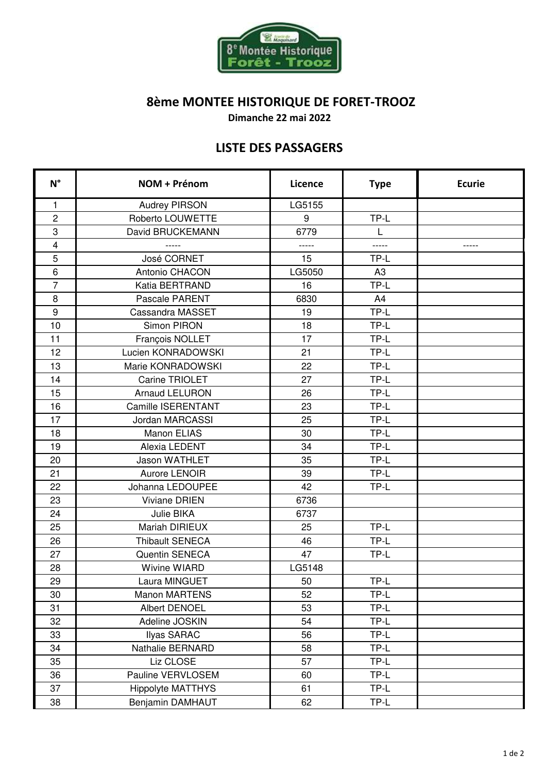

**Dimanche 22 mai 2022**

# **LISTE DES PASSAGERS**

| $N^{\circ}$    | NOM + Prénom              | Licence | <b>Type</b>    | <b>Ecurie</b> |
|----------------|---------------------------|---------|----------------|---------------|
| 1              | <b>Audrey PIRSON</b>      | LG5155  |                |               |
| $\overline{c}$ | Roberto LOUWETTE          | 9       | TP-L           |               |
| 3              | David BRUCKEMANN          | 6779    | L              |               |
| $\overline{4}$ | $- - - - -$               | -----   | -----          | -----         |
| 5              | José CORNET               | 15      | TP-L           |               |
| $\,6$          | Antonio CHACON            | LG5050  | A <sub>3</sub> |               |
| $\overline{7}$ | Katia BERTRAND            | 16      | TP-L           |               |
| 8              | Pascale PARENT            | 6830    | A4             |               |
| $9\,$          | Cassandra MASSET          | 19      | TP-L           |               |
| 10             | Simon PIRON               | 18      | TP-L           |               |
| 11             | François NOLLET           | 17      | TP-L           |               |
| 12             | Lucien KONRADOWSKI        | 21      | TP-L           |               |
| 13             | Marie KONRADOWSKI         | 22      | TP-L           |               |
| 14             | Carine TRIOLET            | 27      | TP-L           |               |
| 15             | <b>Arnaud LELURON</b>     | 26      | TP-L           |               |
| 16             | <b>Camille ISERENTANT</b> | 23      | TP-L           |               |
| 17             | Jordan MARCASSI           | 25      | TP-L           |               |
| 18             | Manon ELIAS               | 30      | TP-L           |               |
| 19             | Alexia LEDENT             | 34      | TP-L           |               |
| 20             | <b>Jason WATHLET</b>      | 35      | TP-L           |               |
| 21             | Aurore LENOIR             | 39      | TP-L           |               |
| 22             | Johanna LEDOUPEE          | 42      | TP-L           |               |
| 23             | <b>Viviane DRIEN</b>      | 6736    |                |               |
| 24             | Julie BIKA                | 6737    |                |               |
| 25             | <b>Mariah DIRIEUX</b>     | 25      | TP-L           |               |
| 26             | <b>Thibault SENECA</b>    | 46      | TP-L           |               |
| 27             | Quentin SENECA            | 47      | TP-L           |               |
| 28             | <b>Wivine WIARD</b>       | LG5148  |                |               |
| 29             | Laura MINGUET             | 50      | TP-L           |               |
| 30             | <b>Manon MARTENS</b>      | 52      | TP-L           |               |
| 31             | <b>Albert DENOEL</b>      | 53      | TP-L           |               |
| 32             | Adeline JOSKIN            | 54      | TP-L           |               |
| 33             | <b>Ilyas SARAC</b>        | 56      | TP-L           |               |
| 34             | Nathalie BERNARD          | 58      | TP-L           |               |
| 35             | Liz CLOSE                 | 57      | TP-L           |               |
| 36             | Pauline VERVLOSEM         | 60      | TP-L           |               |
| 37             | <b>Hippolyte MATTHYS</b>  | 61      | TP-L           |               |
| 38             | Benjamin DAMHAUT          | 62      | TP-L           |               |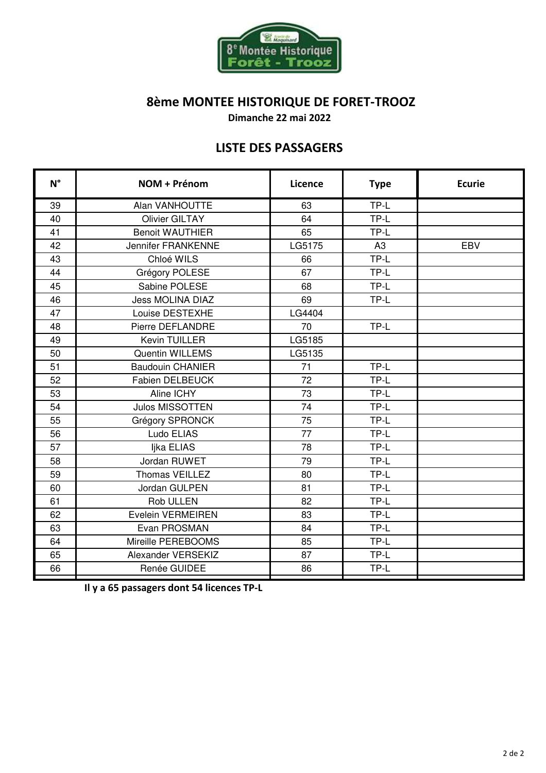

**Dimanche 22 mai 2022**

## **LISTE DES PASSAGERS**

| $N^{\circ}$ | NOM + Prénom              | Licence | <b>Type</b> | <b>Ecurie</b> |
|-------------|---------------------------|---------|-------------|---------------|
| 39          | Alan VANHOUTTE            | 63      | TP-L        |               |
| 40          | <b>Olivier GILTAY</b>     | 64      | TP-L        |               |
| 41          | <b>Benoit WAUTHIER</b>    | 65      | TP-L        |               |
| 42          | <b>Jennifer FRANKENNE</b> | LG5175  | A3          | <b>EBV</b>    |
| 43          | Chloé WILS                | 66      | TP-L        |               |
| 44          | Grégory POLESE            | 67      | TP-L        |               |
| 45          | Sabine POLESE             | 68      | TP-L        |               |
| 46          | <b>Jess MOLINA DIAZ</b>   | 69      | TP-L        |               |
| 47          | Louise DESTEXHE           | LG4404  |             |               |
| 48          | Pierre DEFLANDRE          | 70      | TP-L        |               |
| 49          | Kevin TUILLER             | LG5185  |             |               |
| 50          | <b>Quentin WILLEMS</b>    | LG5135  |             |               |
| 51          | <b>Baudouin CHANIER</b>   | 71      | TP-L        |               |
| 52          | <b>Fabien DELBEUCK</b>    | 72      | TP-L        |               |
| 53          | Aline ICHY                | 73      | TP-L        |               |
| 54          | <b>Julos MISSOTTEN</b>    | 74      | TP-L        |               |
| 55          | Grégory SPRONCK           | 75      | TP-L        |               |
| 56          | Ludo ELIAS                | 77      | TP-L        |               |
| 57          | Ijka ELIAS                | 78      | TP-L        |               |
| 58          | Jordan RUWET              | 79      | TP-L        |               |
| 59          | Thomas VEILLEZ            | 80      | TP-L        |               |
| 60          | Jordan GULPEN             | 81      | TP-L        |               |
| 61          | <b>Rob ULLEN</b>          | 82      | TP-L        |               |
| 62          | Evelein VERMEIREN         | 83      | TP-L        |               |
| 63          | Evan PROSMAN              | 84      | TP-L        |               |
| 64          | Mireille PEREBOOMS        | 85      | TP-L        |               |
| 65          | Alexander VERSEKIZ        | 87      | TP-L        |               |
| 66          | Renée GUIDEE              | 86      | TP-L        |               |

**Il y a 65 passagers dont 54 licences TP-L**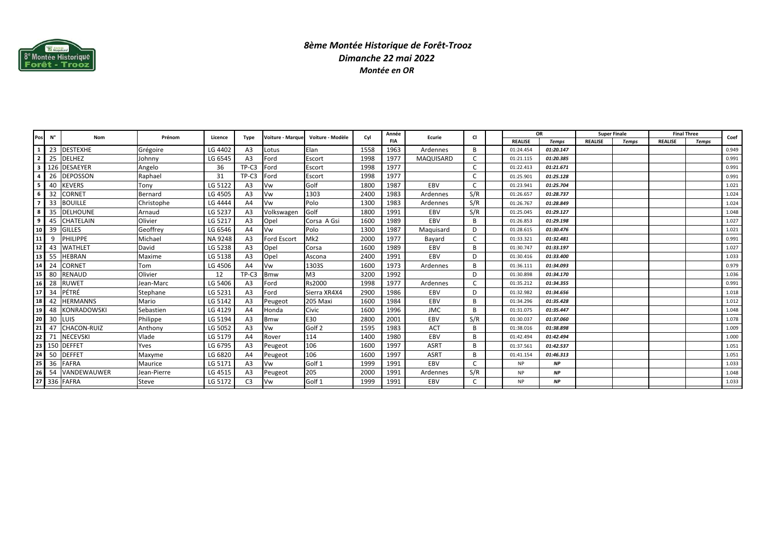

### *8ème Montée Historique de Forêt-TroozDimanche 22 mai 2022Montée en OR*

|     | N°  | Nom                | Prénom       |         |                | Voiture - Marque   | Voiture - Modèle  | Cvl  | Année      | Ecurie      | <b>CI</b>    | OR             |              | <b>Super Finale</b> |              | <b>Final Three</b> |       | Coef  |
|-----|-----|--------------------|--------------|---------|----------------|--------------------|-------------------|------|------------|-------------|--------------|----------------|--------------|---------------------|--------------|--------------------|-------|-------|
| Pos |     |                    |              | Licence | Type           |                    |                   |      | <b>FIA</b> |             |              | <b>REALISE</b> | <b>Temps</b> | <b>REALISE</b>      | <b>Temps</b> | <b>REALISE</b>     | Temps |       |
|     | 23  | <b>DESTEXHE</b>    | Grégoire     | LG 4402 | A <sub>3</sub> | Lotus              | Elan              | 1558 | 1963       | Ardennes    | B            | 01:24.454      | 01:20.147    |                     |              |                    |       | 0.949 |
|     | 25  | <b>DELHEZ</b>      | Johnny       | LG 6545 | A <sub>3</sub> | Ford               | Escort            | 1998 | 1977       | MAQUISARD   | C            | 01:21.115      | 01:20.385    |                     |              |                    |       | 0.991 |
|     |     | <b>DESAEYER</b>    | Angelo       | 36      | TP-C3          | Ford               | Escort            | 1998 | 1977       |             | C            | 01:22.413      | 01:21.671    |                     |              |                    |       | 0.991 |
|     | 26  | <b>DEPOSSON</b>    | Raphael      | 31      | TP-C3          | Ford               | Escort            | 1998 | 1977       |             | C            | 01:25.901      | 01:25.128    |                     |              |                    |       | 0.991 |
|     | 40  | <b>KEVERS</b>      | Tony         | LG 5122 | A <sub>3</sub> | Vw                 | Golf              | 1800 | 1987       | EBV         |              | 01:23.941      | 01:25.704    |                     |              |                    |       | 1.021 |
|     | 32  | <b>CORNET</b>      | Bernard      | LG 4505 | A <sub>3</sub> | Vw                 | 1303              | 2400 | 1983       | Ardennes    | S/R          | 01:26.657      | 01:28.737    |                     |              |                    |       | 1.024 |
|     | 33  | <b>BOUILLE</b>     | Christophe   | LG 4444 | A <sub>4</sub> | Vw                 | Polo              | 1300 | 1983       | Ardennes    | S/R          | 01:26.767      | 01:28.849    |                     |              |                    |       | 1.024 |
|     | 35  | <b>DELHOUNE</b>    | Arnaud       | LG 5237 | A <sub>3</sub> | Volkswagen         | Golf              | 1800 | 1991       | EBV         | S/R          | 01:25.045      | 01:29.127    |                     |              |                    |       | 1.048 |
|     | 45  | CHATELAIN          | Olivier      | LG 5217 | A <sub>3</sub> | Opel               | Corsa A Gsi       | 1600 | 1989       | EBV         | <sub>R</sub> | 01:26.853      | 01:29.198    |                     |              |                    |       | 1.027 |
|     | 39  | <b>GILLES</b>      | Geoffrev     | LG 6546 | A <sub>4</sub> | Vw                 | Polo              | 1300 | 1987       | Maquisard   | D            | 01:28.615      | 01:30.476    |                     |              |                    |       | 1.021 |
| 11  |     | <b>PHILIPPE</b>    | Michael      | NA 9248 | A <sub>3</sub> | <b>Ford Escort</b> | Mk <sub>2</sub>   | 2000 | 1977       | Bavard      | C            | 01:33.321      | 01:32.481    |                     |              |                    |       | 0.991 |
| 12. |     | <b>WATHLET</b>     | David        | LG 5238 | A <sub>3</sub> | Opel               | Corsa             | 1600 | 1989       | EBV         | B            | 01:30.747      | 01:33.197    |                     |              |                    |       | 1.027 |
| 13  | -55 | <b>HEBRAN</b>      | Maxime       | LG 5138 | A <sub>3</sub> | Opel               | Ascona            | 2400 | 1991       | EBV         | D            | 01:30.416      | 01:33.400    |                     |              |                    |       | 1.033 |
|     | 24  | <b>CORNET</b>      | Tom          | LG 4506 | A <sub>4</sub> | Vw                 | 1303S             | 1600 | 1973       | Ardennes    | B            | 01:36.111      | 01:34.093    |                     |              |                    |       | 0.979 |
| 15  | 80  | <b>RENAUD</b>      | Olivier      | 12      | TP-C3          | Bmw                | M <sub>3</sub>    | 3200 | 1992       |             | D            | 01:30.898      | 01:34.170    |                     |              |                    |       | 1.036 |
| 16  | 28  | <b>RUWET</b>       | Jean-Marc    | LG 5406 | A <sub>3</sub> | Ford               | Rs2000            | 1998 | 1977       | Ardennes    | C            | 01:35.212      | 01:34.355    |                     |              |                    |       | 0.991 |
|     | 34  | PÉTRÉ              | Stephane     | LG 5231 | A <sub>3</sub> | Ford               | Sierra XR4X4      | 2900 | 1986       | EBV         | D            | 01:32.982      | 01:34.656    |                     |              |                    |       | 1.018 |
| 18  | 42  | <b>HERMANNS</b>    | Mario        | LG 5142 | A <sub>3</sub> | Peugeot            | 205 Maxi          | 1600 | 1984       | EBV         | B            | 01:34.296      | 01:35.428    |                     |              |                    |       | 1.012 |
| 19  | 48  | <b>KONRADOWSKI</b> | Sebastien    | LG 4129 | A <sub>4</sub> | Honda              | Civic             | 1600 | 1996       | <b>JMC</b>  | R            | 01:31.075      | 01:35.447    |                     |              |                    |       | 1.048 |
| 20  | 30  | <b>LUIS</b>        | Philippe     | LG 5194 | A <sub>3</sub> | <b>Bmw</b>         | E30               | 2800 | 2001       | EBV         | S/R          | 01:30.037      | 01:37.060    |                     |              |                    |       | 1.078 |
|     |     | CHACON-RUIZ        | Anthony      | LG 5052 | A <sub>3</sub> | √w                 | Golf <sub>2</sub> | 1595 | 1983       | ACT         | B            | 01:38.016      | 01:38.898    |                     |              |                    |       | 1.009 |
| 22  |     | <b>NECEVSKI</b>    | Vlade        | LG 5179 | A4             | Rover              | 114               | 1400 | 1980       | EBV         | B            | 01:42.494      | 01:42.494    |                     |              |                    |       | 1.000 |
|     |     | 23 150 DEFFET      | Yves         | LG 6795 | A <sub>3</sub> | Peugeot            | 106               | 1600 | 1997       | <b>ASRT</b> | B            | 01:37.561      | 01:42.537    |                     |              |                    |       | 1.051 |
| 24  | 50  | <b>DEFFET</b>      | Maxyme       | LG 6820 | A <sub>4</sub> | Peugeot            | 106               | 1600 | 1997       | <b>ASRT</b> | B            | 01:41.154      | 01:46.313    |                     |              |                    |       | 1.051 |
| 25  | 36  | <b>FAFRA</b>       | Maurice      | LG 5171 | A <sub>3</sub> | Vw                 | Golf 1            | 1999 | 1991       | EBV         | $\mathsf{C}$ | <b>NP</b>      | <b>NP</b>    |                     |              |                    |       | 1.033 |
| 26  | 54  | VANDEWAUWER        | Jean-Pierre  | LG 4515 | A <sub>3</sub> | Peugeot            | 205               | 2000 | 1991       | Ardennes    | S/R          | <b>NP</b>      | <b>NP</b>    |                     |              |                    |       | 1.048 |
| 27  |     | 336 FAFRA          | <b>Steve</b> | LG 5172 | C <sub>3</sub> | Vw                 | Golf 1            | 1999 | 1991       | EBV         | C            | <b>NP</b>      | <b>NP</b>    |                     |              |                    |       | 1.033 |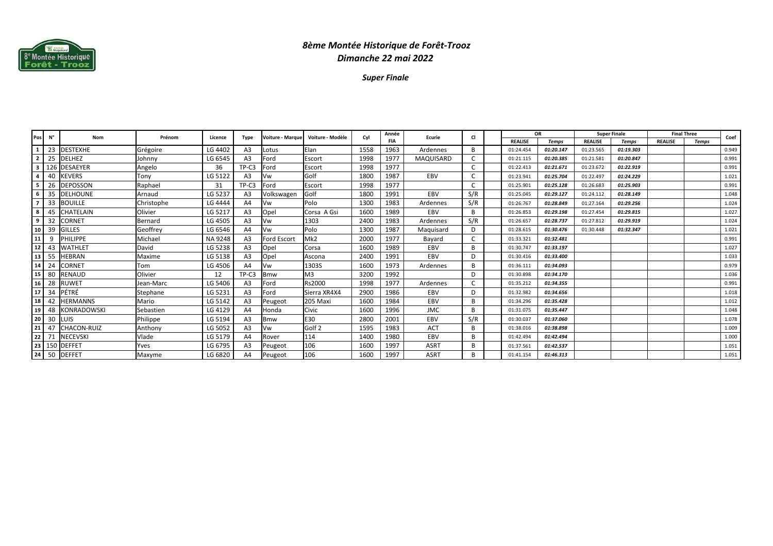

## *8ème Montée Historique de Forêt-TroozDimanche 22 mai 2022*

*Super Finale*

|    | Pos N° | Nom                | Prénom     | Licence        | Type           | <b>Voiture - Marque</b> | Voiture - Modèle  | Cyl  | Année      | Ecurie      | <b>CI</b> | <b>OR</b>      |              | <b>Super Finale</b> |              | <b>Final Three</b> |              | Coef  |
|----|--------|--------------------|------------|----------------|----------------|-------------------------|-------------------|------|------------|-------------|-----------|----------------|--------------|---------------------|--------------|--------------------|--------------|-------|
|    |        |                    |            |                |                |                         |                   |      | <b>FIA</b> |             |           | <b>REALISE</b> | <b>Temps</b> | <b>REALISE</b>      | <b>Temps</b> | <b>REALISE</b>     | <b>Temps</b> |       |
|    | 23     | <b>DESTEXHE</b>    | Grégoire   | LG 4402        | A3             | Lotus                   | Elan              | 1558 | 1963       | Ardennes    | B         | 01:24.454      | 01:20.147    | 01:23.565           | 01:19.303    |                    |              | 0.949 |
|    | 25     | <b>DELHEZ</b>      | Johnny     | LG 6545        | A <sub>3</sub> | Ford                    | Escort            | 1998 | 1977       | MAQUISARD   |           | 01:21.115      | 01:20.385    | 01:21.581           | 01:20.847    |                    |              | 0.991 |
| 3  |        | 126 DESAEYER       | Angelo     | 36             | TP-C3          | Ford                    | Escort            | 1998 | 1977       |             |           | 01:22.413      | 01:21.671    | 01:23.672           | 01:22.919    |                    |              | 0.991 |
|    |        | <b>KEVERS</b>      | Tony       | LG 5122        | A <sub>3</sub> | Vw                      | Golf              | 1800 | 1987       | EBV         |           | 01:23.941      | 01:25.704    | 01:22.497           | 01:24.229    |                    |              | 1.021 |
| 5. | 26     | <b>DEPOSSON</b>    | Raphael    | 31             | TP-C3          | Ford                    | Escort            | 1998 | 1977       |             | C         | 01:25.901      | 01:25.128    | 01:26.683           | 01:25.903    |                    |              | 0.991 |
| 6  | 35     | <b>DELHOUNE</b>    | Arnaud     | LG 5237        | A <sub>3</sub> | Volkswagen              | Golf              | 1800 | 1991       | EBV         | S/R       | 01:25.045      | 01:29.127    | 01:24.112           | 01:28.149    |                    |              | 1.048 |
|    | 33     | BOUILLE            | Christophe | LG 4444        | A <sub>4</sub> | Vw                      | Polo              | 1300 | 1983       | Ardennes    | S/R       | 01:26.767      | 01:28.849    | 01:27.164           | 01:29.256    |                    |              | 1.024 |
| 8  |        | CHATELAIN          | Olivier    | LG 5217        | A <sub>3</sub> | Opel                    | Corsa A Gsi       | 1600 | 1989       | EBV         | B         | 01:26.853      | 01:29.198    | 01:27.454           | 01:29.815    |                    |              | 1.027 |
| 9  | 32     | CORNET             | Bernard    | LG 4505        | A <sub>3</sub> | Vw                      | 1303              | 2400 | 1983       | Ardennes    | S/R       | 01:26.657      | 01:28.737    | 01:27.812           | 01:29.919    |                    |              | 1.024 |
| 10 | -39    | <b>GILLES</b>      | Geoffrey   | LG 6546        | A4             | Vw                      | Polo              | 1300 | 1987       | Maguisard   | D         | 01:28.615      | 01:30.476    | 01:30.448           | 01:32.347    |                    |              | 1.021 |
| 11 |        | <b>PHILIPPE</b>    | Michael    | <b>NA 9248</b> | A <sub>3</sub> | <b>Ford Escort</b>      | Mk <sub>2</sub>   | 2000 | 1977       | Bayard      |           | 01:33.321      | 01:32.481    |                     |              |                    |              | 0.991 |
| 12 | 43     | WATHLET            | David      | LG 5238        | A <sub>3</sub> | Opel                    | Corsa             | 1600 | 1989       | EBV         | B         | 01:30.747      | 01:33.197    |                     |              |                    |              | 1.027 |
| 13 | 55     | HEBRAN             | Maxime     | LG 5138        | A <sub>3</sub> | Opel                    | Ascona            | 2400 | 1991       | EBV         | D         | 01:30.416      | 01:33.400    |                     |              |                    |              | 1.033 |
| 14 | 24     | CORNET             | Tom        | LG 4506        | A <sub>4</sub> | Vw                      | 1303S             | 1600 | 1973       | Ardennes    | <b>B</b>  | 01:36.111      | 01:34.093    |                     |              |                    |              | 0.979 |
| 15 | 80     | RENAUD             | Olivier    | 12             | TP-C3          | <b>Bmw</b>              | M <sub>3</sub>    | 3200 | 1992       |             | D         | 01:30.898      | 01:34.170    |                     |              |                    |              | 1.036 |
| 16 | 28     | RUWET              | Jean-Marc  | LG 5406        | A <sub>3</sub> | Ford                    | Rs2000            | 1998 | 1977       | Ardennes    |           | 01:35.212      | 01:34.355    |                     |              |                    |              | 0.991 |
| 17 | 34     | PÉTRÉ              | Stephane   | LG 5231        | A <sub>3</sub> | Ford                    | Sierra XR4X4      | 2900 | 1986       | EBV         | D         | 01:32.982      | 01:34.656    |                     |              |                    |              | 1.018 |
| 18 | 42     | <b>IERMANNS</b>    | Mario      | LG 5142        | A <sub>3</sub> | Peugeot                 | 205 Maxi          | 1600 | 1984       | EBV         | <b>B</b>  | 01:34.296      | 01:35.428    |                     |              |                    |              | 1.012 |
| 19 | 48     | <b>KONRADOWSKI</b> | Sebastien  | LG 4129        | A <sub>4</sub> | Honda                   | Civic             | 1600 | 1996       | <b>JMC</b>  | B         | 01:31.075      | 01:35.447    |                     |              |                    |              | 1.048 |
| 20 | -30    | LUIS               | Philippe   | LG 5194        | A <sub>3</sub> | <b>Bmw</b>              | E30               | 2800 | 2001       | EBV         | S/R       | 01:30.037      | 01:37.060    |                     |              |                    |              | 1.078 |
| 21 |        | CHACON-RUIZ        | Anthony    | LG 5052        | A <sub>3</sub> | Vw                      | Golf <sub>2</sub> | 1595 | 1983       | <b>ACT</b>  | B         | 01:38.016      | 01:38.898    |                     |              |                    |              | 1.009 |
| 22 | 71     | <b>NECEVSKI</b>    | Vlade      | LG 5179        | A4             | Rover                   | 114               | 1400 | 1980       | EBV         | <b>B</b>  | 01:42.494      | 01:42.494    |                     |              |                    |              | 1.000 |
|    |        | 23 150 DEFFET      | Yves       | LG 6795        | A3             | Peugeot                 | 106               | 1600 | 1997       | <b>ASRT</b> | B         | 01:37.561      | 01:42.537    |                     |              |                    |              | 1.051 |
|    | 24 50  | <b>DEFFET</b>      | Maxyme     | LG 6820        |                | Peugeot                 | 106               | 1600 | 1997       | <b>ASRT</b> | B         | 01:41.154      | 01:46.313    |                     |              |                    |              | 1.051 |